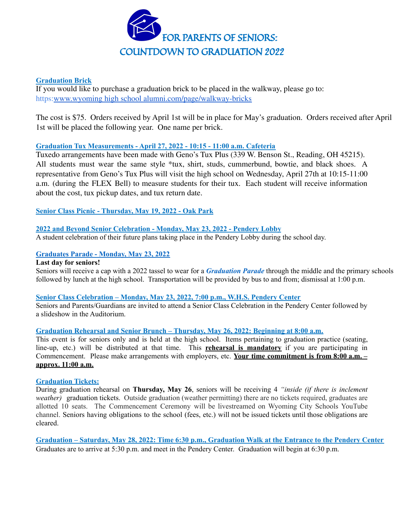

## **Graduation Brick**

If you would like to purchase a graduation brick to be placed in the walkway, please go to: https:www.wyoming high school [alumni.com/page/walkway-bricks](http://www.wyominghighschoolalumni.com/page/walkway-bricks)

The cost is \$75. Orders received by April 1st will be in place for May's graduation. Orders received after April 1st will be placed the following year. One name per brick.

## **Graduation Tux Measurements - April 27, 2022 - 10:15 - 11:00 a.m. Cafeteria**

Tuxedo arrangements have been made with Geno's Tux Plus (339 W. Benson St., Reading, OH 45215). All students must wear the same style \*tux, shirt, studs, cummerbund, bowtie, and black shoes. A representative from Geno's Tux Plus will visit the high school on Wednesday, April 27th at 10:15-11:00 a.m. (during the FLEX Bell) to measure students for their tux. Each student will receive information about the cost, tux pickup dates, and tux return date.

## **Senior Class Picnic - Thursday, May 19, 2022 - Oak Park**

# **2022 and Beyond Senior Celebration - Monday, May 23, 2022 - Pendery Lobby**

A student celebration of their future plans taking place in the Pendery Lobby during the school day.

## **Graduates Parade - Monday, May 23, 2022**

#### **Last day for seniors!**

Seniors will receive a cap with a 2022 tassel to wear for a *Graduation Parade* through the middle and the primary schools followed by lunch at the high school. Transportation will be provided by bus to and from; dismissal at 1:00 p.m.

#### **Senior Class Celebration – Monday, May 23, 2022, 7:00 p.m., W.H.S. Pendery Center**

Seniors and Parents/Guardians are invited to attend a Senior Class Celebration in the Pendery Center followed by a slideshow in the Auditorium.

#### **Graduation Rehearsal and Senior Brunch – Thursday, May 26, 2022: Beginning at 8:00 a.m.**

This event is for seniors only and is held at the high school. Items pertaining to graduation practice (seating, line-up, etc.) will be distributed at that time. This **rehearsal is mandatory** if you are participating in Commencement. Please make arrangements with employers, etc. **Your time commitment is from 8:00 a.m. – approx. 11:00 a.m.**

#### **Graduation Tickets:**

During graduation rehearsal on **Thursday, May 26**, seniors will be receiving 4 *"inside (if there is inclement weather)* graduation tickets. Outside graduation (weather permitting) there are no tickets required, graduates are allotted 10 seats. The Commencement Ceremony will be livestreamed on Wyoming City Schools YouTube channel. Seniors having obligations to the school (fees, etc.) will not be issued tickets until those obligations are cleared.

Graduation – Saturday, May 28, 2022: Time 6:30 p.m., Graduation Walk at the Entrance to the Pendery Center Graduates are to arrive at 5:30 p.m. and meet in the Pendery Center. Graduation will begin at 6:30 p.m.